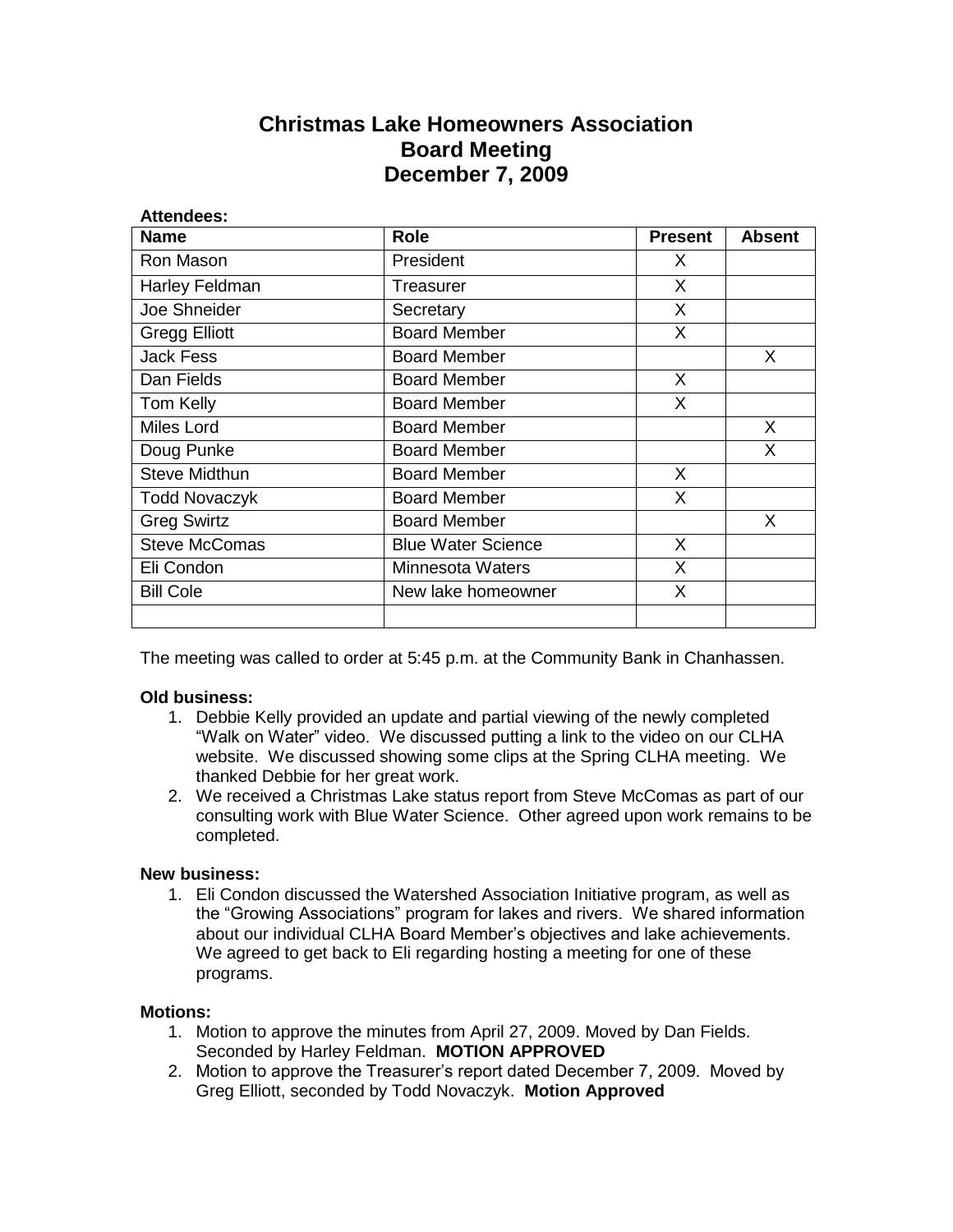## **Christmas Lake Homeowners Association Board Meeting December 7, 2009**

| Attendees:           |                           |                |        |
|----------------------|---------------------------|----------------|--------|
| <b>Name</b>          | <b>Role</b>               | <b>Present</b> | Absent |
| Ron Mason            | President                 | X.             |        |
| Harley Feldman       | Treasurer                 | X              |        |
| Joe Shneider         | Secretary                 | X              |        |
| <b>Gregg Elliott</b> | <b>Board Member</b>       | X              |        |
| <b>Jack Fess</b>     | <b>Board Member</b>       |                | X.     |
| Dan Fields           | <b>Board Member</b>       | X              |        |
| Tom Kelly            | <b>Board Member</b>       | X              |        |
| Miles Lord           | <b>Board Member</b>       |                | X      |
| Doug Punke           | <b>Board Member</b>       |                | X      |
| <b>Steve Midthun</b> | <b>Board Member</b>       | X              |        |
| <b>Todd Novaczyk</b> | <b>Board Member</b>       | X              |        |
| <b>Greg Swirtz</b>   | <b>Board Member</b>       |                | X.     |
| <b>Steve McComas</b> | <b>Blue Water Science</b> | X              |        |
| Eli Condon           | <b>Minnesota Waters</b>   | X              |        |
| <b>Bill Cole</b>     | New lake homeowner        | X              |        |
|                      |                           |                |        |

The meeting was called to order at 5:45 p.m. at the Community Bank in Chanhassen.

## **Old business:**

- 1. Debbie Kelly provided an update and partial viewing of the newly completed "Walk on Water" video. We discussed putting a link to the video on our CLHA website. We discussed showing some clips at the Spring CLHA meeting. We thanked Debbie for her great work.
- 2. We received a Christmas Lake status report from Steve McComas as part of our consulting work with Blue Water Science. Other agreed upon work remains to be completed.

## **New business:**

1. Eli Condon discussed the Watershed Association Initiative program, as well as the "Growing Associations" program for lakes and rivers. We shared information about our individual CLHA Board Member's objectives and lake achievements. We agreed to get back to Eli regarding hosting a meeting for one of these programs.

## **Motions:**

- 1. Motion to approve the minutes from April 27, 2009. Moved by Dan Fields. Seconded by Harley Feldman. **MOTION APPROVED**
- 2. Motion to approve the Treasurer's report dated December 7, 2009. Moved by Greg Elliott, seconded by Todd Novaczyk. **Motion Approved**